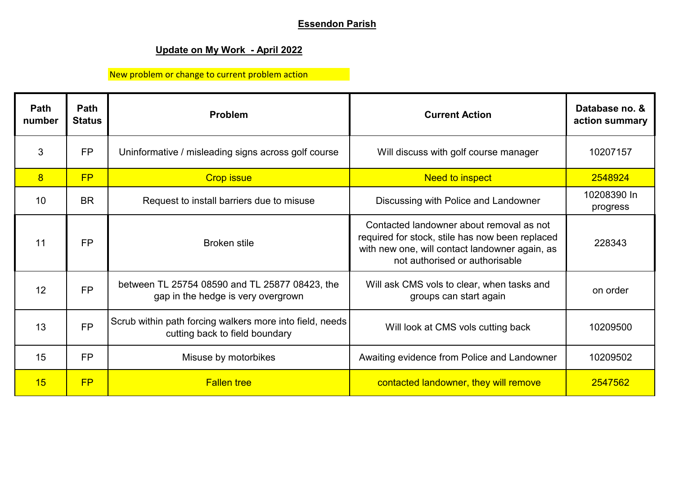## **Essendon Parish**

## **Update on My Work - April 2022**

New problem or change to current problem action

| <b>Path</b><br>number | Path<br><b>Status</b> | <b>Problem</b>                                                                             | <b>Current Action</b>                                                                                                                                                           | Database no. &<br>action summary |
|-----------------------|-----------------------|--------------------------------------------------------------------------------------------|---------------------------------------------------------------------------------------------------------------------------------------------------------------------------------|----------------------------------|
| 3                     | <b>FP</b>             | Uninformative / misleading signs across golf course                                        | Will discuss with golf course manager                                                                                                                                           | 10207157                         |
| 8                     | FP                    | <b>Crop issue</b>                                                                          | <b>Need to inspect</b>                                                                                                                                                          | 2548924                          |
| 10                    | <b>BR</b>             | Request to install barriers due to misuse                                                  | Discussing with Police and Landowner                                                                                                                                            | 10208390 In<br>progress          |
| 11                    | <b>FP</b>             | <b>Broken stile</b>                                                                        | Contacted landowner about removal as not<br>required for stock, stile has now been replaced<br>with new one, will contact landowner again, as<br>not authorised or authorisable | 228343                           |
| 12                    | <b>FP</b>             | between TL 25754 08590 and TL 25877 08423, the<br>gap in the hedge is very overgrown       | Will ask CMS vols to clear, when tasks and<br>groups can start again                                                                                                            | on order                         |
| 13                    | <b>FP</b>             | Scrub within path forcing walkers more into field, needs<br>cutting back to field boundary | Will look at CMS vols cutting back                                                                                                                                              | 10209500                         |
| 15                    | <b>FP</b>             | Misuse by motorbikes                                                                       | Awaiting evidence from Police and Landowner                                                                                                                                     | 10209502                         |
| 15                    | FP                    | <b>Fallen tree</b>                                                                         | contacted landowner, they will remove                                                                                                                                           | 2547562                          |